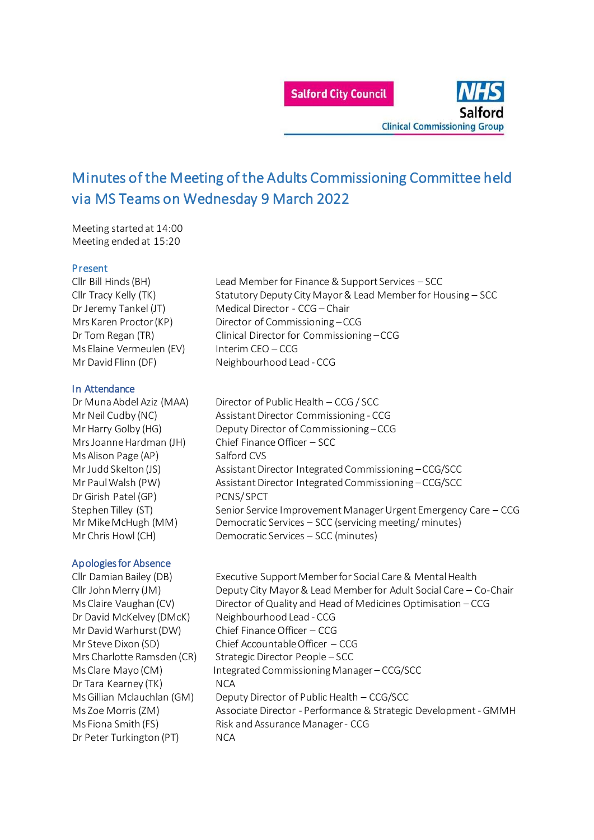

# Minutes of the Meeting of the Adults Commissioning Committee held via MS Teams on Wednesday 9 March 2022

Meeting started at 14:00 Meeting ended at 15:20

#### Present

Ms Elaine Vermeulen (EV) Interim CEO – CCG

## In Attendance

Ms Alison Page (AP) Salford CVS Dr Girish Patel (GP) PCNS/SPCT

# Apologies for Absence

Dr David McKelvey (DMcK) Neighbourhood Lead - CCG Mr David Warhurst (DW) Chief Finance Officer – CCG Dr Tara Kearney (TK) NCA Dr Peter Turkington (PT) NCA

Cllr Bill Hinds (BH) Lead Member for Finance & Support Services – SCC Cllr Tracy Kelly (TK) Statutory Deputy City Mayor & Lead Member for Housing – SCC Dr Jeremy Tankel (JT) Medical Director - CCG – Chair Mrs Karen Proctor (KP) Director of Commissioning – CCG Dr Tom Regan (TR) Clinical Director for Commissioning – CCG Mr David Flinn (DF) Neighbourhood Lead - CCG

Dr Muna Abdel Aziz (MAA) Director of Public Health – CCG / SCC Mr Neil Cudby (NC) Assistant Director Commissioning - CCG Mr Harry Golby (HG) Deputy Director of Commissioning – CCG Mrs Joanne Hardman (JH) Chief Finance Officer – SCC Mr Judd Skelton (JS) Assistant Director Integrated Commissioning –CCG/SCC Mr Paul Walsh (PW) Assistant Director Integrated Commissioning –CCG/SCC Stephen Tilley (ST) Senior Service Improvement Manager Urgent Emergency Care – CCG Mr Mike McHugh (MM) Democratic Services – SCC (servicing meeting/ minutes) Mr Chris Howl (CH) Democratic Services – SCC (minutes)

Cllr Damian Bailey (DB) Executive Support Member for Social Care & Mental Health Cllr John Merry (JM) Deputy City Mayor & Lead Member for Adult Social Care – Co-Chair Ms Claire Vaughan (CV) Director of Quality and Head of Medicines Optimisation – CCG Mr Steve Dixon (SD) Chief Accountable Officer – CCG Mrs Charlotte Ramsden (CR) Strategic Director People – SCC Ms Clare Mayo (CM) Integrated Commissioning Manager – CCG/SCC Ms Gillian Mclauchlan (GM) Deputy Director of Public Health – CCG/SCC Ms Zoe Morris (ZM) Associate Director - Performance & Strategic Development - GMMH Ms Fiona Smith (FS) Risk and Assurance Manager - CCG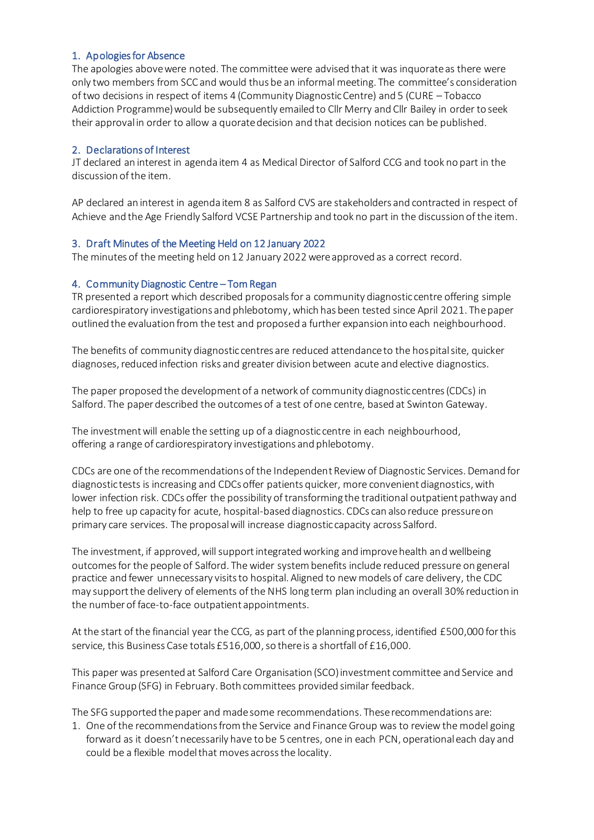## 1. Apologies for Absence

The apologies above were noted. The committee were advised that it was inquorate as there were only two members from SCC and would thus be an informal meeting. The committee's consideration of two decisions in respect of items 4 (Community Diagnostic Centre) and 5 (CURE – Tobacco Addiction Programme) would be subsequently emailed to Cllr Merry and Cllr Bailey in order to seek their approval in order to allow a quorate decision and that decision notices can be published.

#### 2. Declarations of Interest

JT declared an interest in agenda item 4 as Medical Director of Salford CCG and took no part in the discussion of the item.

AP declared an interest in agenda item 8 as Salford CVS are stakeholders and contracted in respect of Achieve and the Age Friendly Salford VCSE Partnership and took no part in the discussion of the item.

## 3. Draft Minutes of the Meeting Held on 12 January 2022

The minutes of the meeting held on 12 January 2022 were approved as a correct record.

## 4. Community Diagnostic Centre – Tom Regan

TR presented a report which described proposals for a community diagnostic centre offering simple cardiorespiratory investigations and phlebotomy, which has been tested since April 2021. The paper outlined the evaluation from the test and proposed a further expansion into each neighbourhood.

The benefits of community diagnostic centres are reduced attendance to the hospital site, quicker diagnoses, reduced infection risks and greater division between acute and elective diagnostics.

The paper proposed the development of a network of community diagnostic centres (CDCs) in Salford. The paper described the outcomes of a test of one centre, based at Swinton Gateway.

The investment will enable the setting up of a diagnostic centre in each neighbourhood, offering a range of cardiorespiratory investigations and phlebotomy.

CDCs are one of the recommendations of the Independent Review of Diagnostic Services. Demand for diagnostic tests is increasing and CDCs offer patients quicker, more convenient diagnostics, with lower infection risk. CDCs offer the possibility of transforming the traditional outpatient pathway and help to free up capacity for acute, hospital-based diagnostics. CDCs can also reduce pressure on primary care services. The proposal will increase diagnostic capacity across Salford.

The investment, if approved, will support integrated working and improve health and wellbeing outcomes for the people of Salford. The wider system benefits include reduced pressure on general practice and fewer unnecessary visits to hospital. Aligned to new models of care delivery, the CDC may support the delivery of elements of the NHS long term plan including an overall 30% reduction in the number of face-to-face outpatient appointments.

At the start of the financial year the CCG, as part of the planning process, identified £500,000 for this service, this Business Case totals £516,000, so there is a shortfall of £16,000.

This paper was presented at Salford Care Organisation (SCO) investment committee and Service and Finance Group (SFG) in February. Both committees provided similar feedback.

The SFG supported the paper and made some recommendations. These recommendations are:

1. One of the recommendations from the Service and Finance Group was to review the model going forward as it doesn't necessarily have to be 5 centres, one in each PCN, operational each day and could be a flexible model that moves across the locality.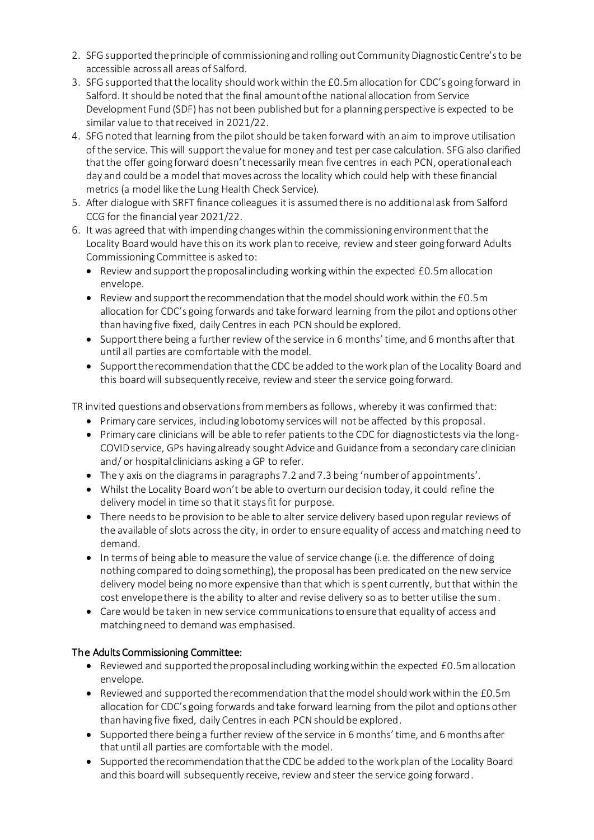- 2. SFG supported the principle of commissioning and rolling out Community Diagnostic Centre's to be accessible across all areas of Salford.
- 3. SFG supported that the locality should work within the £0.5m allocation for CDC's going forward in Salford. It should be noted that the final amount of the national allocation from Service Development Fund (SDF) has not been published but for a planning perspective is expected to be similar value to that received in 2021/22.
- 4. SFG noted that learning from the pilot should be taken forward with an aim to improve utilisation of the service. This will support the value for money and test per case calculation. SFG also clarified that the offer going forward doesn't necessarily mean five centres in each PCN, operational each day and could be a model that moves across the locality which could help with these financial metrics (a model like the Lung Health Check Service).
- 5. After dialogue with SRFT finance colleagues it is assumed there is no additional ask from Salford CCG for the financial year 2021/22.
- 6. It was agreed that with impending changes within the commissioning environment that the Locality Board would have this on its work plan to receive, review and steer going forward Adults Commissioning Committee is asked to:
	- $\bullet$  Review and support the proposal including working within the expected  $E0.5$ m allocation envelope.
	- Review and support the recommendation that the model should work within the £0.5m allocation for CDC's going forwards and take forward learning from the pilot and options other than having five fixed, daily Centres in each PCN should be explored.
	- Support there being a further review of the service in 6 months' time, and 6 months after that until all parties are comfortable with the model.
	- Support the recommendation that the CDC be added to the work plan of the Locality Board and this board will subsequently receive, review and steer the service going forward.

TR invited questions and observations from members as follows, whereby it was confirmed that:

- Primary care services, including lobotomy services will not be affected by this proposal.
- Primary care clinicians will be able to refer patients to the CDC for diagnostic tests via the long-COVID service, GPs having already sought Advice and Guidance from a secondary care clinician and/ or hospital clinicians asking a GP to refer.
- The y axis on the diagrams in paragraphs 7.2 and 7.3 being 'number of appointments'.
- Whilst the Locality Board won't be able to overturn our decision today, it could refine the delivery model in time so that it stays fit for purpose.
- There needs to be provision to be able to alter service delivery based upon regular reviews of the available of slots across the city, in order to ensure equality of access and matching need to demand.
- In terms of being able to measure the value of service change (i.e. the difference of doing nothing compared to doing something), the proposal has been predicated on the new service delivery model being no more expensive than that which is spent currently, but that within the cost envelope there is the ability to alter and revise delivery so as to better utilise the sum.
- Care would be taken in new service communications to ensure that equality of access and matching need to demand was emphasised.

# The Adults Commissioning Committee:

- Reviewed and supported the proposal including working within the expected £0.5m allocation envelope.
- $\bullet$  Reviewed and supported the recommendation that the model should work within the £0.5m allocation for CDC's going forwards and take forward learning from the pilot and options other than having five fixed, daily Centres in each PCN should be explored.
- Supported there being a further review of the service in 6 months' time, and 6 months after that until all parties are comfortable with the model.
- Supported the recommendation that the CDC be added to the work plan of the Locality Board and this board will subsequently receive, review and steer the service going forward.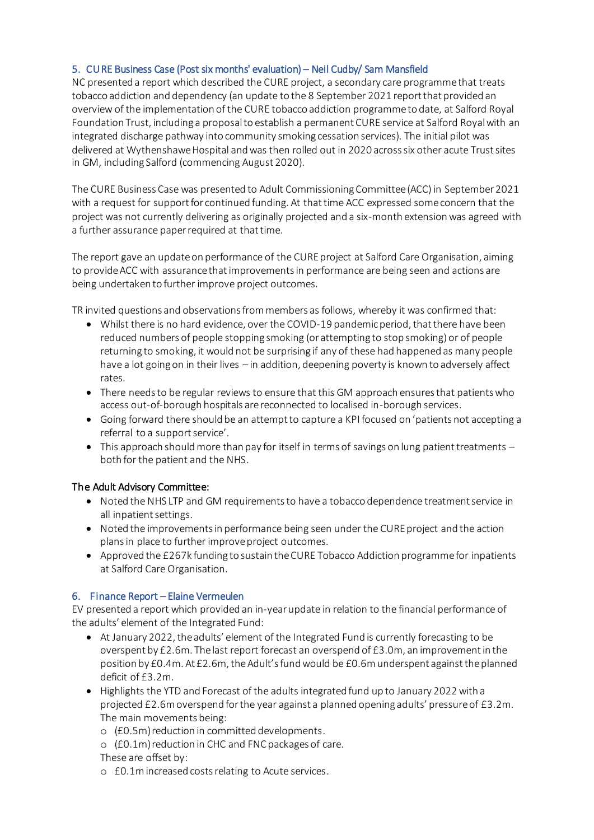# 5. CURE Business Case (Post six months' evaluation) – Neil Cudby/ Sam Mansfield

NC presented a report which described the CURE project, a secondary care programme that treats tobacco addiction and dependency (an update to the 8 September 2021 report that provided an overview of the implementation of the CURE tobacco addiction programme to date, at Salford Royal Foundation Trust, including a proposal to establish a permanent CURE service at Salford Royal with an integrated discharge pathway into community smoking cessation services). The initial pilot was delivered at Wythenshawe Hospital and was then rolled out in 2020 across six other acute Trust sites in GM, including Salford (commencing August 2020).

The CURE Business Case was presented to Adult Commissioning Committee (ACC) in September 2021 with a request for support for continued funding. At that time ACC expressed some concern that the project was not currently delivering as originally projected and a six-month extension was agreed with a further assurance paper required at that time.

The report gave an update on performance of the CURE project at Salford Care Organisation, aiming to provide ACC with assurance that improvements in performance are being seen and actions are being undertaken to further improve project outcomes.

TR invited questions and observations from members as follows, whereby it was confirmed that:

- Whilst there is no hard evidence, over the COVID-19 pandemic period, that there have been reduced numbers of people stopping smoking (or attempting to stop smoking) or of people returning to smoking, it would not be surprising if any of these had happened as many people have a lot going on in their lives – in addition, deepening poverty is known to adversely affect rates.
- There needs to be regular reviews to ensure that this GM approach ensures that patients who access out-of-borough hospitals are reconnected to localised in-borough services.
- Going forward there should be an attempt to capture a KPI focused on 'patients not accepting a referral to a support service'.
- $\bullet$  This approach should more than pay for itself in terms of savings on lung patient treatments  $$ both for the patient and the NHS.

# The Adult Advisory Committee:

- Noted the NHS LTP and GM requirements to have a tobacco dependence treatment service in all inpatient settings.
- Noted the improvements in performance being seen under the CURE project and the action plans in place to further improve project outcomes.
- Approved the £267k funding to sustain the CURE Tobacco Addiction programme for inpatients at Salford Care Organisation.

# 6. Finance Report – Elaine Vermeulen

EV presented a report which provided an in-year update in relation to the financial performance of the adults' element of the Integrated Fund:

- At January 2022, the adults' element of the Integrated Fund is currently forecasting to be overspent by £2.6m. The last report forecast an overspend of £3.0m, an improvement in the position by £0.4m. At £2.6m, the Adult's fund would be £0.6m underspent against the planned deficit of £3.2m.
- Highlights the YTD and Forecast of the adults integrated fund up to January 2022 with a projected £2.6m overspend for the year against a planned opening adults' pressure of £3.2m. The main movements being:
	- o (£0.5m) reduction in committed developments.
	- o (£0.1m) reduction in CHC and FNC packages of care. These are offset by:
	- o £0.1m increased costs relating to Acute services.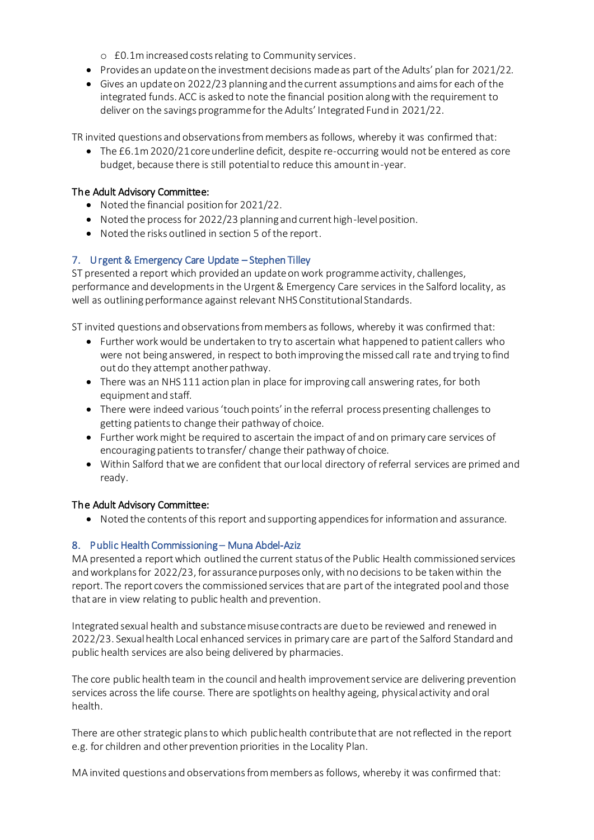o £0.1m increased costs relating to Community services.

- Provides an update on the investment decisions made as part of the Adults' plan for 2021/22.
- Gives an update on 2022/23 planning and the current assumptions and aims for each of the integrated funds. ACC is asked to note the financial position along with the requirement to deliver on the savings programme for the Adults' Integrated Fund in 2021/22.

TR invited questions and observations from members as follows, whereby it was confirmed that:

 The £6.1m 2020/21 core underline deficit, despite re-occurring would not be entered as core budget, because there is still potential to reduce this amount in-year.

## The Adult Advisory Committee:

- Noted the financial position for 2021/22.
- Noted the process for 2022/23 planning and current high-level position.
- Noted the risks outlined in section 5 of the report.

# 7. Urgent & Emergency Care Update – Stephen Tilley

ST presented a report which provided an update on work programme activity, challenges, performance and developments in the Urgent & Emergency Care services in the Salford locality, as well as outlining performance against relevant NHS Constitutional Standards.

ST invited questions and observations from members as follows, whereby it was confirmed that:

- Further work would be undertaken to try to ascertain what happened to patient callers who were not being answered, in respect to both improving the missed call rate and trying to find out do they attempt another pathway.
- There was an NHS 111 action plan in place for improving call answering rates, for both equipment and staff.
- There were indeed various 'touch points' in the referral process presenting challenges to getting patients to change their pathway of choice.
- Further work might be required to ascertain the impact of and on primary care services of encouraging patients to transfer/ change their pathway of choice.
- Within Salford that we are confident that our local directory of referral services are primed and ready.

# The Adult Advisory Committee:

Noted the contents of this report and supporting appendices for information and assurance.

# 8. Public Health Commissioning – Muna Abdel-Aziz

MA presented a report which outlined the current status of the Public Health commissioned services and workplans for 2022/23, for assurance purposes only, with no decisions to be taken within the report. The report covers the commissioned services that are part of the integrated pool and those that are in view relating to public health and prevention.

Integrated sexual health and substance misuse contracts are due to be reviewed and renewed in 2022/23. Sexual health Local enhanced services in primary care are part of the Salford Standard and public health services are also being delivered by pharmacies.

The core public health team in the council and health improvement service are delivering prevention services across the life course. There are spotlights on healthy ageing, physical activity and oral health.

There are other strategic plans to which public health contribute that are not reflected in the report e.g. for children and other prevention priorities in the Locality Plan.

MA invited questions and observations from members as follows, whereby it was confirmed that: